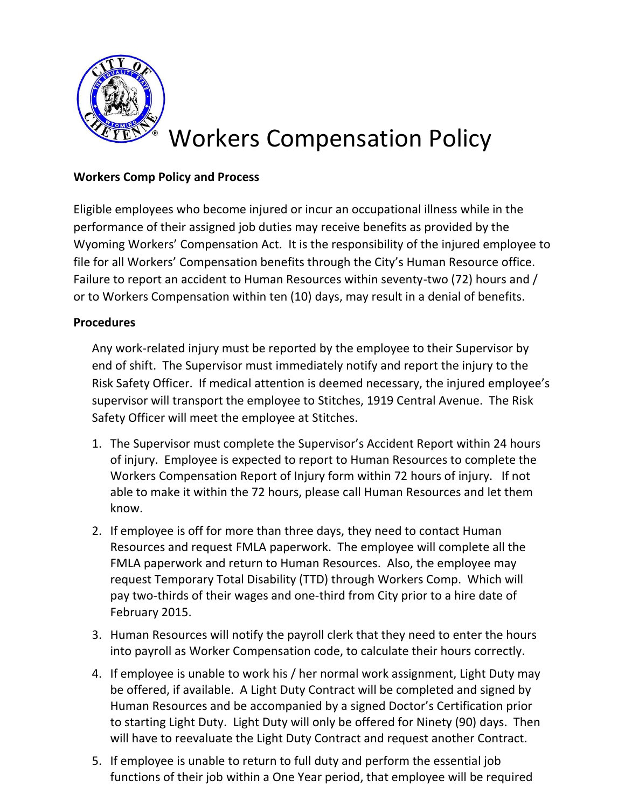

## **Workers Comp Policy and Process**

Eligible employees who become injured or incur an occupational illness while in the performance of their assigned job duties may receive benefits as provided by the Wyoming Workers' Compensation Act. It is the responsibility of the injured employee to file for all Workers' Compensation benefits through the City's Human Resource office. Failure to report an accident to Human Resources within seventy-two (72) hours and / or to Workers Compensation within ten (10) days, may result in a denial of benefits.

### **Procedures**

Any work-related injury must be reported by the employee to their Supervisor by end of shift. The Supervisor must immediately notify and report the injury to the Risk Safety Officer. If medical attention is deemed necessary, the injured employee's supervisor will transport the employee to Stitches, 1919 Central Avenue. The Risk Safety Officer will meet the employee at Stitches.

- 1. The Supervisor must complete the Supervisor's Accident Report within 24 hours of injury. Employee is expected to report to Human Resources to complete the Workers Compensation Report of Injury form within 72 hours of injury. If not able to make it within the 72 hours, please call Human Resources and let them know.
- 2. If employee is off for more than three days, they need to contact Human Resources and request FMLA paperwork. The employee will complete all the FMLA paperwork and return to Human Resources. Also, the employee may request Temporary Total Disability (TTD) through Workers Comp. Which will pay two-thirds of their wages and one-third from City prior to a hire date of February 2015.
- 3. Human Resources will notify the payroll clerk that they need to enter the hours into payroll as Worker Compensation code, to calculate their hours correctly.
- 4. If employee is unable to work his / her normal work assignment, Light Duty may be offered, if available. A Light Duty Contract will be completed and signed by Human Resources and be accompanied by a signed Doctor's Certification prior to starting Light Duty. Light Duty will only be offered for Ninety (90) days. Then will have to reevaluate the Light Duty Contract and request another Contract.
- 5. If employee is unable to return to full duty and perform the essential job functions of their job within a One Year period, that employee will be required